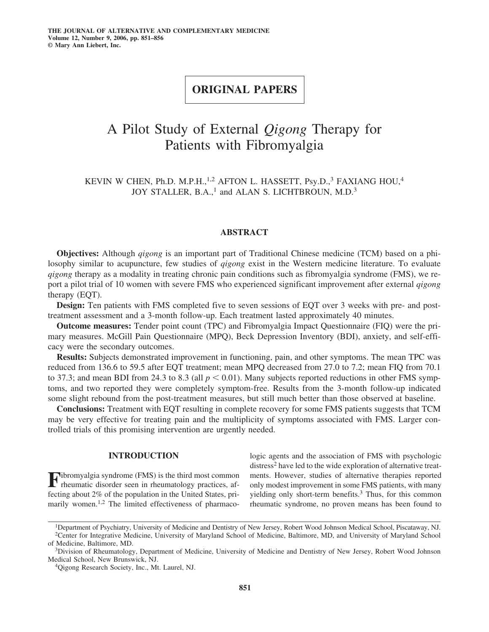## **ORIGINAL PAPERS**

# A Pilot Study of External *Qigong* Therapy for Patients with Fibromyalgia

KEVIN W CHEN, Ph.D. M.P.H.,<sup>1,2</sup> AFTON L. HASSETT, Psy.D.,<sup>3</sup> FAXIANG HOU,<sup>4</sup> JOY STALLER, B.A.,<sup>1</sup> and ALAN S. LICHTBROUN, M.D.<sup>3</sup>

## **ABSTRACT**

**Objectives:** Although *qigong* is an important part of Traditional Chinese medicine (TCM) based on a philosophy similar to acupuncture, few studies of *qigong* exist in the Western medicine literature. To evaluate *qigong* therapy as a modality in treating chronic pain conditions such as fibromyalgia syndrome (FMS), we report a pilot trial of 10 women with severe FMS who experienced significant improvement after external *qigong* therapy (EQT).

**Design:** Ten patients with FMS completed five to seven sessions of EQT over 3 weeks with pre- and posttreatment assessment and a 3-month follow-up. Each treatment lasted approximately 40 minutes.

**Outcome measures:** Tender point count (TPC) and Fibromyalgia Impact Questionnaire (FIQ) were the primary measures. McGill Pain Questionnaire (MPQ), Beck Depression Inventory (BDI), anxiety, and self-efficacy were the secondary outcomes.

**Results:** Subjects demonstrated improvement in functioning, pain, and other symptoms. The mean TPC was reduced from 136.6 to 59.5 after EQT treatment; mean MPQ decreased from 27.0 to 7.2; mean FIQ from 70.1 to 37.3; and mean BDI from 24.3 to 8.3 (all  $p < 0.01$ ). Many subjects reported reductions in other FMS symptoms, and two reported they were completely symptom-free. Results from the 3-month follow-up indicated some slight rebound from the post-treatment measures, but still much better than those observed at baseline.

**Conclusions:** Treatment with EQT resulting in complete recovery for some FMS patients suggests that TCM may be very effective for treating pain and the multiplicity of symptoms associated with FMS. Larger controlled trials of this promising intervention are urgently needed.

## **INTRODUCTION**

**F**ibromyalgia syndrome (FMS) is the third most common rheumatic disorder seen in rheumatology practices, affecting about 2% of the population in the United States, primarily women.<sup>1,2</sup> The limited effectiveness of pharmacologic agents and the association of FMS with psychologic distress<sup>2</sup> have led to the wide exploration of alternative treatments. However, studies of alternative therapies reported only modest improvement in some FMS patients, with many yielding only short-term benefits. $3$  Thus, for this common rheumatic syndrome, no proven means has been found to

<sup>&</sup>lt;sup>1</sup>Department of Psychiatry, University of Medicine and Dentistry of New Jersey, Robert Wood Johnson Medical School, Piscataway, NJ. <sup>2</sup>Center for Integrative Medicine, University of Maryland School of Medicine, Baltimore,

of Medicine, Baltimore, MD.<br><sup>3</sup>Division of Rheumatology, Department of Medicine, University of Medicine and Dentistry of New Jersey, Robert Wood Johnson

Medical School, New Brunswick, NJ. 4Qigong Research Society, Inc., Mt. Laurel, NJ.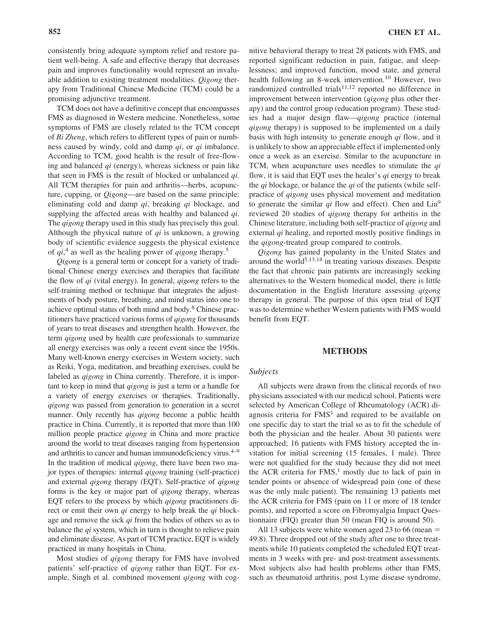consistently bring adequate symptom relief and restore patient well-being. A safe and effective therapy that decreases pain and improves functionality would represent an invaluable addition to existing treatment modalities. *Qigong* therapy from Traditional Chinese Medicine (TCM) could be a promising adjunctive treatment.

TCM does not have a definitive concept that encompasses FMS as diagnosed in Western medicine. Nonetheless, some symptoms of FMS are closely related to the TCM concept of *Bi Zheng*, which refers to different types of pain or numbness caused by windy, cold and damp *qi*, or *qi* imbalance. According to TCM, good health is the result of free-flowing and balanced *qi* (energy), whereas sickness or pain like that seen in FMS is the result of blocked or unbalanced *qi*. All TCM therapies for pain and arthritis—herbs, acupuncture, cupping, or *Qigong*—are based on the same principle: eliminating cold and damp *qi*, breaking *qi* blockage, and supplying the affected areas with healthy and balanced *qi*. The *qigong* therapy used in this study has precisely this goal. Although the physical nature of *qi* is unknown, a growing body of scientific evidence suggests the physical existence of *qi*, <sup>4</sup> as well as the healing power of *qigong* therapy.<sup>5</sup>

*Qigong* is a general term or concept for a variety of traditional Chinese energy exercises and therapies that facilitate the flow of *qi* (vital energy). In general, *qigong* refers to the self-training method or technique that integrates the adjustments of body posture, breathing, and mind status into one to achieve optimal status of both mind and body.6 Chinese practitioners have practiced various forms of *qigong* for thousands of years to treat diseases and strengthen health. However, the term *qigong* used by health care professionals to summarize all energy exercises was only a recent event since the 1950s. Many well-known energy exercises in Western society, such as Reiki, Yoga, meditation, and breathing exercises, could be labeled as *qigong* in China currently. Therefore, it is important to keep in mind that *qigong* is just a term or a handle for a variety of energy exercises or therapies. Traditionally, *qigong* was passed from generation to generation in a secret manner. Only recently has *qigong* become a public health practice in China. Currently, it is reported that more than 100 million people practice *qigong* in China and more practice around the world to treat diseases ranging from hypertension and arthritis to cancer and human immunodeficiency virus. $4-9$ In the tradition of medical *qigong*, there have been two major types of therapies: internal *qigong* training (self-practice) and external *qigong* therapy (EQT). Self-practice of *qigong* forms is the key or major part of *qigong* therapy, whereas EQT refers to the process by which *qigong* practitioners direct or emit their own *qi* energy to help break the *qi* blockage and remove the sick *qi* from the bodies of others so as to balance the *qi* system, which in turn is thought to relieve pain and eliminate disease. As part of TCM practice, EQT is widely practiced in many hospitals in China.

Most studies of *qigong* therapy for FMS have involved patients' self-practice of *qigong* rather than EQT. For example, Singh et al. combined movement *qigong* with cognitive behavioral therapy to treat 28 patients with FMS, and reported significant reduction in pain, fatigue, and sleeplessness; and improved function, mood state, and general health following an 8-week intervention.<sup>10</sup> However, two randomized controlled trials $11,12$  reported no difference in improvement between intervention (*qigong* plus other therapy) and the control group (education program). These studies had a major design flaw—*qigong* practice (internal *qigong* therapy) is supposed to be implemented on a daily basis with high intensity to generate enough *qi* flow, and it is unlikely to show an appreciable effect if implemented only once a week as an exercise. Similar to the acupuncture in TCM, when acupuncture uses needles to stimulate the *qi* flow, it is said that EQT uses the healer's *qi* energy to break the *qi* blockage, or balance the *qi* of the patients (while selfpractice of *qigong* uses physical movement and meditation to generate the similar *qi* flow and effect). Chen and Liu9 reviewed 20 studies of *qigong* therapy for arthritis in the Chinese literature, including both self-practice of *qigong* and external *qi* healing, and reported mostly positive findings in the *qigong*-treated group compared to controls.

*Qigong* has gained popularity in the United States and around the world $5,13,14$  in treating various diseases. Despite the fact that chronic pain patients are increasingly seeking alternatives to the Western biomedical model, there is little documentation in the English literature assessing *qigong* therapy in general. The purpose of this open trial of EQT was to determine whether Western patients with FMS would benefit from EQT.

#### **METHODS**

#### *Subjects*

All subjects were drawn from the clinical records of two physicians associated with our medical school. Patients were selected by American College of Rheumatology (ACR) diagnosis criteria for  $FMS<sup>1</sup>$  and required to be available on one specific day to start the trial so as to fit the schedule of both the physician and the healer. About 30 patients were approached; 16 patients with FMS history accepted the invitation for initial screening (15 females, 1 male). Three were not qualified for the study because they did not meet the ACR criteria for  $FMS$ ,<sup>1</sup> mostly due to lack of pain in tender points or absence of widespread pain (one of these was the only male patient). The remaining 13 patients met the ACR criteria for FMS (pain on 11 or more of 18 tender points), and reported a score on Fibromyalgia Impact Questionnaire (FIQ) greater than 50 (mean FIQ is around 50).

All 13 subjects were white women aged 23 to 66 (mean 49.8). Three dropped out of the study after one to three treatments while 10 patients completed the scheduled EQT treatments in 3 weeks with pre- and post-treatment assessments. Most subjects also had health problems other than FMS, such as rheumatoid arthritis, post Lyme disease syndrome,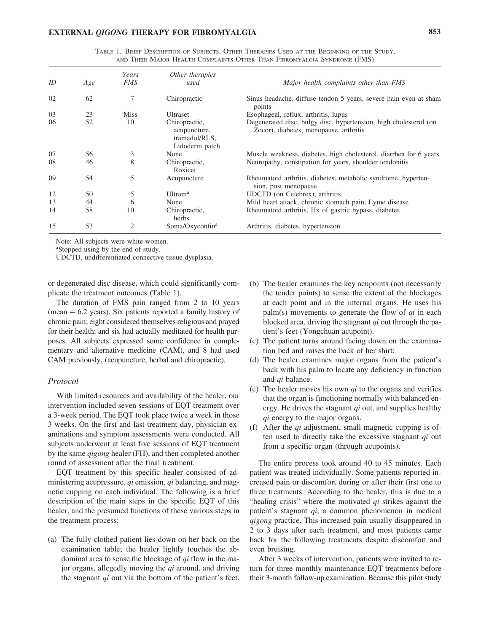| AND THEIR MAJOR HEALTH COMPLAINTS OTHER THAN FIBROMYALGIA SYNDROME (FMS) |     |                     |                         |                                                                             |  |  |  |
|--------------------------------------------------------------------------|-----|---------------------|-------------------------|-----------------------------------------------------------------------------|--|--|--|
| ID                                                                       | Age | Years<br><i>FMS</i> | Other therapies<br>used | Major health complaints other than FMS                                      |  |  |  |
| 02                                                                       | 62  |                     | Chiropractic            | Sinus headache, diffuse tendon 5 years, severe pain even at share<br>points |  |  |  |

TABLE 1. BRIEF DESCRIPTION OF SUBJECTS, OTHER THERAPIES USED AT THE BEGINNING OF THE STUDY,

| 02 | 62 |             | Chiropractic                                                     | Sinus headache, diffuse tendon 5 years, severe pain even at sham<br>points                                 |
|----|----|-------------|------------------------------------------------------------------|------------------------------------------------------------------------------------------------------------|
| 03 | 23 | <b>Miss</b> | Ultraset                                                         | Esophageal, reflux, arthritis, lupus                                                                       |
| 06 | 52 | 10          | Chiropractic,<br>acupuncture,<br>tramadol/RLS,<br>Lidoderm patch | Degenerated disc, bulgy disc, hypertension, high cholesterol (on<br>Zocor), diabetes, menopause, arthritis |
| 07 | 56 | 3           | None                                                             | Muscle weakness, diabetes, high cholesterol, diarrhea for 6 years                                          |
| 08 | 46 | 8           | Chiropractic,<br>Roxicet                                         | Neuropathy, constipation for years, shoulder tendonitis                                                    |
| 09 | 54 | 5           | Acupuncture                                                      | Rheumatoid arthritis, diabetes, metabolic syndrome, hyperten-<br>sion, post menopause                      |
| 12 | 50 | 5           | Ultram <sup>a</sup>                                              | UDCTD (on Celebrex), arthritis                                                                             |
| 13 | 44 | 6           | None                                                             | Mild heart attack, chronic stomach pain, Lyme disease                                                      |
| 14 | 58 | 10          | Chiropractic,<br>herbs                                           | Rheumatoid arthritis, Hx of gastric bypass, diabetes                                                       |
| 15 | 53 |             | Soma/Oxycontin <sup>a</sup>                                      | Arthritis, diabetes, hypertension                                                                          |

Note: All subjects were white women.

a Stopped using by the end of study.

UDCTD, undifferentiated connective tissue dysplasia.

or degenerated disc disease, which could significantly complicate the treatment outcomes (Table 1).

The duration of FMS pain ranged from 2 to 10 years  $(mean = 6.2 \text{ years})$ . Six patients reported a family history of chronic pain; eight considered themselves religious and prayed for their health; and six had actually meditated for health purposes. All subjects expressed some confidence in complementary and alternative medicine (CAM), and 8 had used CAM previously, (acupuncture, herbal and chiropractic).

### *Protocol*

With limited resources and availability of the healer, our intervention included seven sessions of EQT treatment over a 3-week period. The EQT took place twice a week in those 3 weeks. On the first and last treatment day, physician examinations and symptom assessments were conducted. All subjects underwent at least five sessions of EQT treatment by the same *qigong* healer (FH), and then completed another round of assessment after the final treatment.

EQT treatment by this specific healer consisted of administering acupressure, *qi* emission, *qi* balancing, and magnetic cupping on each individual. The following is a brief description of the main steps in the specific EQT of this healer, and the presumed functions of these various steps in the treatment process:

(a) The fully clothed patient lies down on her back on the examination table; the healer lightly touches the abdominal area to sense the blockage of *qi* flow in the major organs, allegedly moving the *qi* around, and driving the stagnant *qi* out via the bottom of the patient's feet.

- (b) The healer examines the key acupoints (not necessarily the tender points) to sense the extent of the blockages at each point and in the internal organs. He uses his palm(s) movements to generate the flow of *qi* in each blocked area, driving the stagnant *qi* out through the patient's feet (Yongchuan acupoint).
- (c) The patient turns around facing down on the examination bed and raises the back of her shirt;
- (d) The healer examines major organs from the patient's back with his palm to locate any deficiency in function and *qi* balance.
- (e) The healer moves his own *qi* to the organs and verifies that the organ is functioning normally with balanced energy. He drives the stagnant *qi* out, and supplies healthy *qi* energy to the major organs.
- (f) After the *qi* adjustment, small magnetic cupping is often used to directly take the excessive stagnant *qi* out from a specific organ (through acupoints).

The entire process took around 40 to 45 minutes. Each patient was treated individually. Some patients reported increased pain or discomfort during or after their first one to three treatments. According to the healer, this is due to a "healing crisis" where the motivated *qi* strikes against the patient's stagnant *qi*, a common phenomenon in medical *qigong* practice. This increased pain usually disappeared in 2 to 3 days after each treatment, and most patients came back for the following treatments despite discomfort and even bruising.

After 3 weeks of intervention, patients were invited to return for three monthly maintenance EQT treatments before their 3-month follow-up examination. Because this pilot study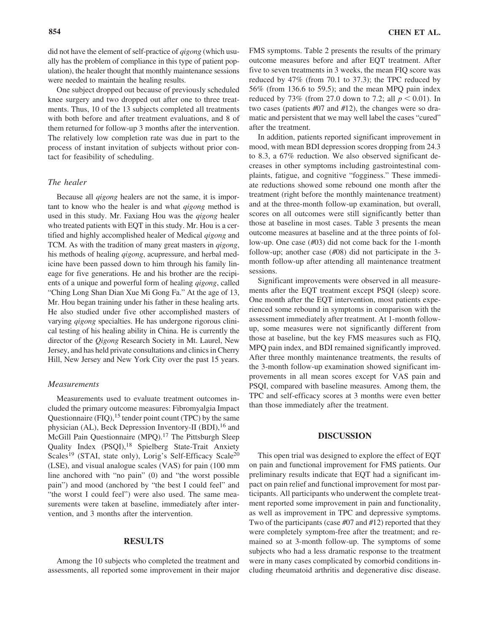did not have the element of self-practice of *qigong* (which usually has the problem of compliance in this type of patient population), the healer thought that monthly maintenance sessions were needed to maintain the healing results.

One subject dropped out because of previously scheduled knee surgery and two dropped out after one to three treatments. Thus, 10 of the 13 subjects completed all treatments with both before and after treatment evaluations, and 8 of them returned for follow-up 3 months after the intervention. The relatively low completion rate was due in part to the process of instant invitation of subjects without prior contact for feasibility of scheduling.

#### *The healer*

Because all *qigong* healers are not the same, it is important to know who the healer is and what *qigong* method is used in this study. Mr. Faxiang Hou was the *qigong* healer who treated patients with EQT in this study. Mr. Hou is a certified and highly accomplished healer of Medical *qigong* and TCM. As with the tradition of many great masters in *qigong*, his methods of healing *qigong*, acupressure, and herbal medicine have been passed down to him through his family lineage for five generations. He and his brother are the recipients of a unique and powerful form of healing *qigong*, called "Ching Long Shan Dian Xue Mi Gong Fa." At the age of 13, Mr. Hou began training under his father in these healing arts. He also studied under five other accomplished masters of varying *qigong* specialties. He has undergone rigorous clinical testing of his healing ability in China. He is currently the director of the *Qigong* Research Society in Mt. Laurel, New Jersey, and has held private consultations and clinics in Cherry Hill, New Jersey and New York City over the past 15 years.

#### *Measurements*

Measurements used to evaluate treatment outcomes included the primary outcome measures: Fibromyalgia Impact Questionnaire  $(FIQ)$ , <sup>15</sup> tender point count (TPC) by the same physician (AL), Beck Depression Inventory-II (BDI), <sup>16</sup> and McGill Pain Questionnaire (MPQ).<sup>17</sup> The Pittsburgh Sleep Quality Index (PSQI),<sup>18</sup> Spielberg State-Trait Anxiety Scales<sup>19</sup> (STAI, state only), Lorig's Self-Efficacy Scale<sup>20</sup> (LSE), and visual analogue scales (VAS) for pain (100 mm line anchored with "no pain" (0) and "the worst possible pain") and mood (anchored by "the best I could feel" and "the worst I could feel") were also used. The same measurements were taken at baseline, immediately after intervention, and 3 months after the intervention.

#### **RESULTS**

Among the 10 subjects who completed the treatment and assessments, all reported some improvement in their major FMS symptoms. Table 2 presents the results of the primary outcome measures before and after EQT treatment. After five to seven treatments in 3 weeks, the mean FIQ score was reduced by 47% (from 70.1 to 37.3); the TPC reduced by 56% (from 136.6 to 59.5); and the mean MPQ pain index reduced by 73% (from 27.0 down to 7.2; all  $p < 0.01$ ). In two cases (patients #07 and #12), the changes were so dramatic and persistent that we may well label the cases "cured" after the treatment.

In addition, patients reported significant improvement in mood, with mean BDI depression scores dropping from 24.3 to 8.3, a 67% reduction. We also observed significant decreases in other symptoms including gastrointestinal complaints, fatigue, and cognitive "fogginess." These immediate reductions showed some rebound one month after the treatment (right before the monthly maintenance treatment) and at the three-month follow-up examination, but overall, scores on all outcomes were still significantly better than those at baseline in most cases. Table 3 presents the mean outcome measures at baseline and at the three points of follow-up. One case (#03) did not come back for the 1-month follow-up; another case (#08) did not participate in the 3 month follow-up after attending all maintenance treatment sessions.

Significant improvements were observed in all measurements after the EQT treatment except PSQI (sleep) score. One month after the EQT intervention, most patients experienced some rebound in symptoms in comparison with the assessment immediately after treatment. At 1-month followup, some measures were not significantly different from those at baseline, but the key FMS measures such as FIQ, MPQ pain index, and BDI remained significantly improved. After three monthly maintenance treatments, the results of the 3-month follow-up examination showed significant improvements in all mean scores except for VAS pain and PSQI, compared with baseline measures. Among them, the TPC and self-efficacy scores at 3 months were even better than those immediately after the treatment.

#### **DISCUSSION**

This open trial was designed to explore the effect of EQT on pain and functional improvement for FMS patients. Our preliminary results indicate that EQT had a significant impact on pain relief and functional improvement for most participants. All participants who underwent the complete treatment reported some improvement in pain and functionality, as well as improvement in TPC and depressive symptoms. Two of the participants (case #07 and #12) reported that they were completely symptom-free after the treatment; and remained so at 3-month follow-up. The symptoms of some subjects who had a less dramatic response to the treatment were in many cases complicated by comorbid conditions including rheumatoid arthritis and degenerative disc disease.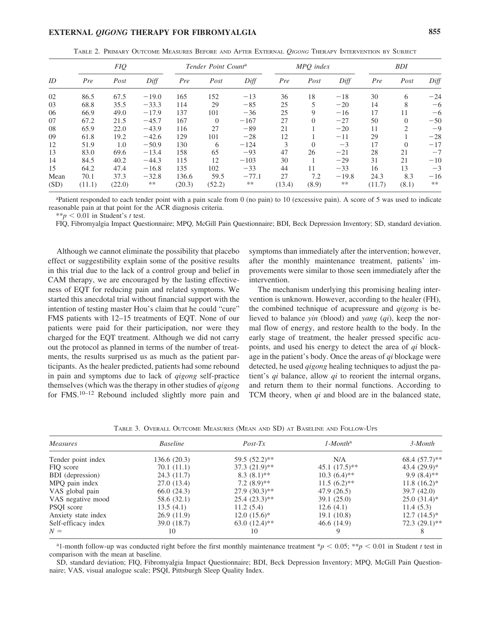## **EXTERNAL** *QIGONG* **THERAPY FOR FIBROMYALGIA 855**

TABLE 2. PRIMARY OUTCOME MEASURES BEFORE AND AFTER EXTERNAL *QIGONG* THERAPY INTERVENTION BY SUBJECT

|      | FIQ    |        |         | Tender Point Count <sup>a</sup> |          | MPO index |        |          | <b>BDI</b> |        |          |       |
|------|--------|--------|---------|---------------------------------|----------|-----------|--------|----------|------------|--------|----------|-------|
| ID   | Pre    | Post   | Diff    | Pre                             | Post     | Diff      | Pre    | Post     | Diff       | Pre    | Post     | Diff  |
| 02   | 86.5   | 67.5   | $-19.0$ | 165                             | 152      | $-13$     | 36     | 18       | $-18$      | 30     | 6        | $-24$ |
| 03   | 68.8   | 35.5   | $-33.3$ | 114                             | 29       | $-85$     | 25     |          | $-20$      | 14     | 8        | -6    |
| 06   | 66.9   | 49.0   | $-17.9$ | 137                             | 101      | $-36$     | 25     | 9        | $-16$      | 17     | 11       | $-6$  |
| 07   | 67.2   | 21.5   | $-45.7$ | 167                             | $\theta$ | $-167$    | 27     | $\theta$ | $-27$      | 50     | $\Omega$ | $-50$ |
| 08   | 65.9   | 22.0   | $-43.9$ | 116                             | 27       | $-89$     | 21     |          | $-20$      | 11     | 2        | -9    |
| 09   | 61.8   | 19.2   | $-42.6$ | 129                             | 101      | $-28$     | 12     |          | $-11$      | 29     |          | $-28$ |
| 12   | 51.9   | 1.0    | $-50.9$ | 130                             | 6        | $-124$    | 3      | $\Omega$ | $-3$       | 17     | $\Omega$ | $-17$ |
| 13   | 83.0   | 69.6   | $-13.4$ | 158                             | 65       | $-93$     | 47     | 26       | $-21$      | 28     | 21       | $-7$  |
| 14   | 84.5   | 40.2   | $-44.3$ | 115                             | 12       | $-103$    | 30     |          | $-29$      | 31     | 21       | $-10$ |
| 15   | 64.2   | 47.4   | $-16.8$ | 135                             | 102      | $-33$     | 44     | 11       | $-33$      | 16     | 13       | $-3$  |
| Mean | 70.1   | 37.3   | $-32.8$ | 136.6                           | 59.5     | $-77.1$   | 27     | 7.2      | $-19.8$    | 24.3   | 8.3      | $-16$ |
| (SD) | (11.1) | (22.0) | **      | (20.3)                          | (52.2)   | **        | (13.4) | (8.9)    | **         | (11.7) | (8.1)    | $**$  |

a Patient responded to each tender point with a pain scale from 0 (no pain) to 10 (excessive pain). A score of 5 was used to indicate reasonable pain at that point for the ACR diagnosis criteria.

 $**p < 0.01$  in Student's *t* test.

FIQ, Fibromyalgia Impact Questionnaire; MPQ, McGill Pain Questionnaire; BDI, Beck Depression Inventory; SD, standard deviation.

Although we cannot eliminate the possibility that placebo effect or suggestibility explain some of the positive results in this trial due to the lack of a control group and belief in CAM therapy, we are encouraged by the lasting effectiveness of EQT for reducing pain and related symptoms. We started this anecdotal trial without financial support with the intention of testing master Hou's claim that he could "cure" FMS patients with 12–15 treatments of EQT. None of our patients were paid for their participation, nor were they charged for the EQT treatment. Although we did not carry out the protocol as planned in terms of the number of treatments, the results surprised us as much as the patient participants. As the healer predicted, patients had some rebound in pain and symptoms due to lack of *qigong* self-practice themselves (which was the therapy in other studies of *qigong* for FMS.10–12 Rebound included slightly more pain and

symptoms than immediately after the intervention; however, after the monthly maintenance treatment, patients' improvements were similar to those seen immediately after the intervention.

The mechanism underlying this promising healing intervention is unknown. However, according to the healer (FH), the combined technique of acupressure and *qigong* is believed to balance *yin* (blood) and *yang* (*qi*), keep the normal flow of energy, and restore health to the body. In the early stage of treatment, the healer pressed specific acupoints, and used his energy to detect the area of *qi* blockage in the patient's body. Once the areas of *qi* blockage were detected, he used *qigong* healing techniques to adjust the patient's *qi* balance, allow *qi* to reorient the internal organs, and return them to their normal functions. According to TCM theory, when *qi* and blood are in the balanced state,

TABLE 3. OVERALL OUTCOME MEASURES (MEAN AND SD) AT BASELINE AND FOLLOW-UPS

| Measures            | <b>Baseline</b> | $Post-Tx$        | $1$ -Month <sup>a</sup> | 3-Month          |
|---------------------|-----------------|------------------|-------------------------|------------------|
| Tender point index  | 136.6(20.3)     | $59.5(52.2)$ **  | N/A                     | 68.4 $(57.7)$ ** |
| FIQ score           | 70.1(11.1)      | $37.3 (21.9)$ ** | $45.1 (17.5)$ **        | $43.4(29.9)*$    |
| BDI (depression)    | 24.3(11.7)      | $8.3(8.1)$ **    | $10.3(6.4)$ **          | $9.9(8.4)$ **    |
| MPQ pain index      | 27.0 (13.4)     | $7.2(8.9)$ **    | $11.5(6.2)$ **          | $11.8(16.2)^{*}$ |
| VAS global pain     | 66.0 (24.3)     | $27.9(30.3)$ **  | 47.9 (26.5)             | 39.7(42.0)       |
| VAS negative mood   | 58.6 (32.1)     | $25.4(23.3)$ **  | 39.1(25.0)              | $25.0(31.4)$ *   |
| PSQI score          | 13.5(4.1)       | 11.2(5.4)        | 12.6(4.1)               | 11.4(5.3)        |
| Anxiety state index | 26.9(11.9)      | $12.0(15.6)^*$   | 19.1(10.8)              | $12.7(14.5)^*$   |
| Self-efficacy index | 39.0 (18.7)     | $63.0(12.4)$ **  | 46.6 (14.9)             | $72.3(29.1)$ **  |
| $N =$               | 10              | 10               |                         |                  |

<sup>a</sup>l-month follow-up was conducted right before the first monthly maintenance treatment  $\dot{p}$  < 0.05;  $\dot{p}$  < 0.01 in Student *t* test in comparison with the mean at baseline.

SD, standard deviation; FIQ, Fibromyalgia Impact Questionnaire; BDI, Beck Depression Inventory; MPQ, McGill Pain Questionnaire; VAS, visual analogue scale; PSQI, Pittsburgh Sleep Quality Index.